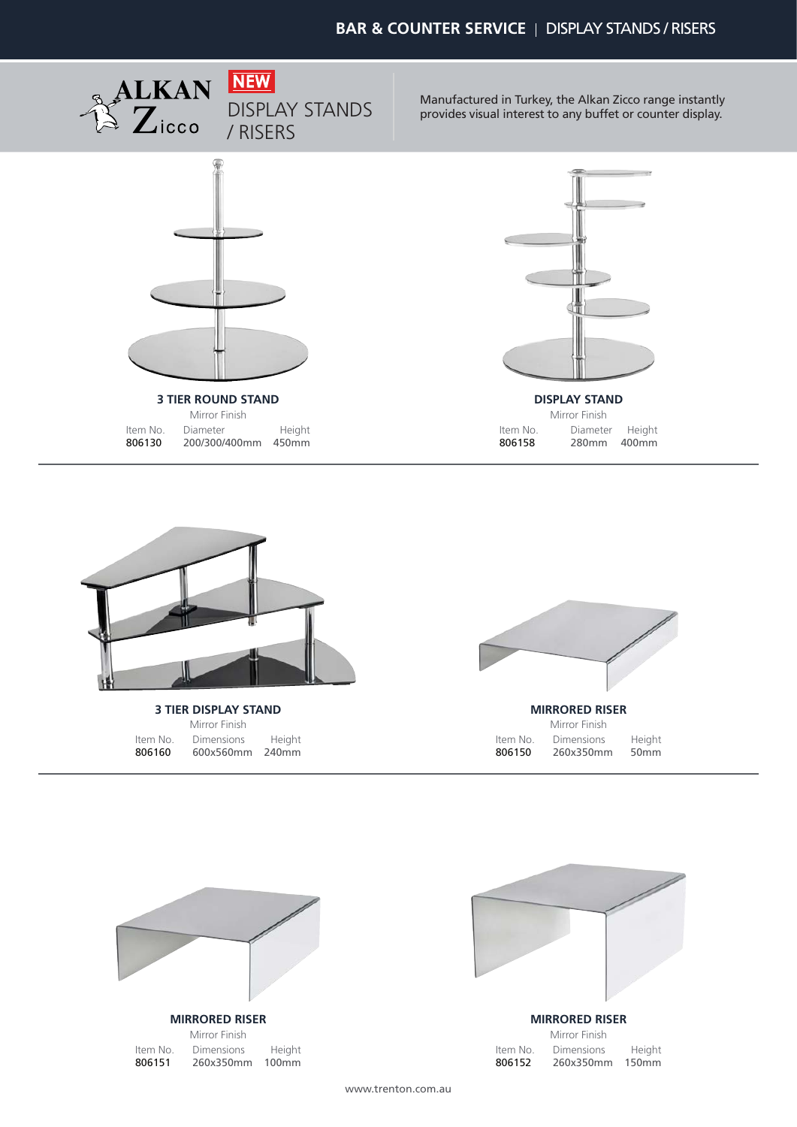

Manufactured in Turkey, the Alkan Zicco range instantly provides visual interest to any buffet or counter display.





**3 TIER DISPLAY STAND** Mirror Finish Item No.<br>**806160** 806160 600x560mm 240mm Dimensions





#### **MIRRORED RISER**

Mirror Finish Item No.<br>**806151** 806151 260x350mm 100mm Dimensions Height



**MIRRORED RISER**

|          | Mirror Finish |                   |
|----------|---------------|-------------------|
| Item No. | Dimensions    | Height            |
| 806152   | 260x350mm     | 150 <sub>mm</sub> |

www.trenton.com.au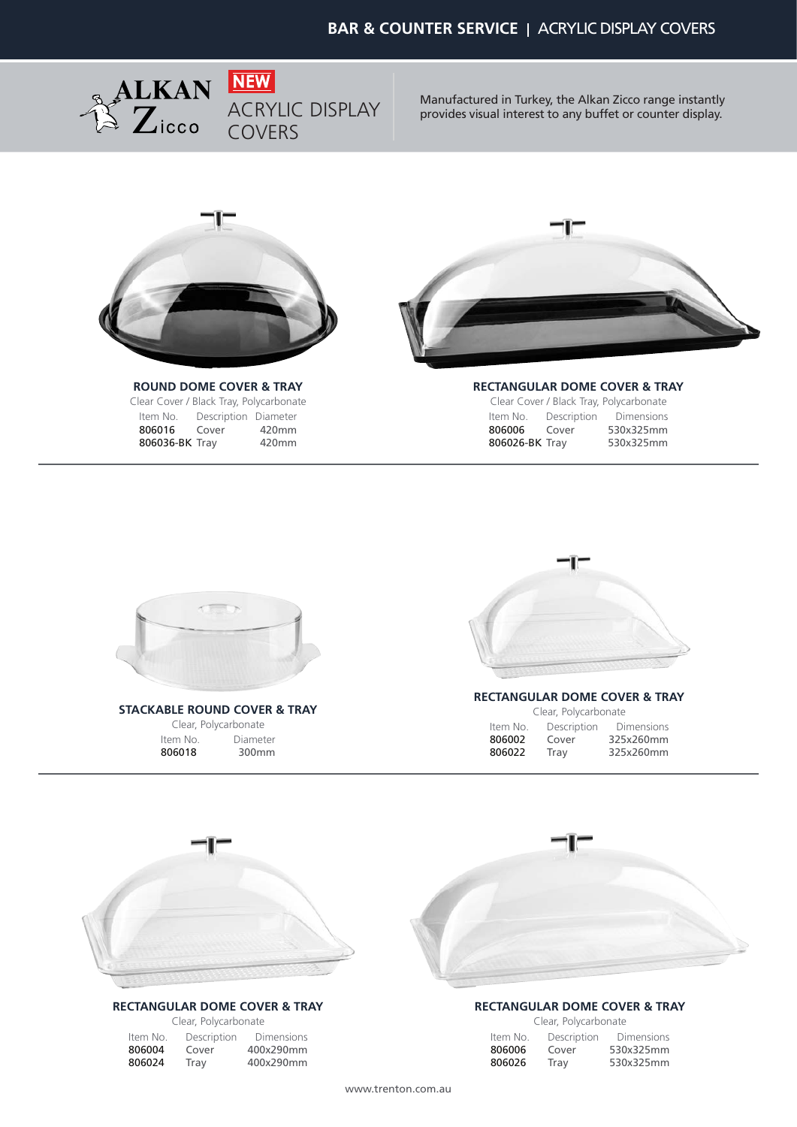

Manufactured in Turkey, the Alkan Zicco range instantly provides visual interest to any buffet or counter display.



### **ROUND DOME COVER & TRAY**

Clear Cover / Black Tray, Polycarbonate Item No.<br>**806016 806016** Cover 420mm Description Diameter 806036-BK Tray 420mm



#### **RECTANGULAR DOME COVER & TRAY**

|                |             | Clear Cover / Black Tray, Polycarbonate |
|----------------|-------------|-----------------------------------------|
| Item No.       | Description | <b>Dimensions</b>                       |
| 806006         | Cover       | 530x325mm                               |
| 806026-BK Tray |             | 530x325mm                               |



**STACKABLE ROUND COVER & TRAY** Clear, Polycarbonate

Item No.<br>**806018** 300mm Diameter



## **RECTANGULAR DOME COVER & TRAY**

| Clear, Polycarbonate |             |            |  |
|----------------------|-------------|------------|--|
| Item No.             | Description | Dimensions |  |
| 806002               | Cover       | 325x260mm  |  |
| 806022               | Tray        | 325x260mm  |  |



#### **RECTANGULAR DOME COVER & TRAY**

Clear, Polycarbonate Item No.<br>806004 806004 Cover 400x290mm<br>806024 Tray 400x290mm Description Dimensions Cover 400x290mm

# **RECTANGULAR DOME COVER & TRAY**

| Clear, Polycarbonate |             |                   |  |  |
|----------------------|-------------|-------------------|--|--|
| Item No.             | Description | <b>Dimensions</b> |  |  |
| 806006               | Cover       | 530x325mm         |  |  |
| 806026               | Tray        | 530x325mm         |  |  |

www.trenton.com.au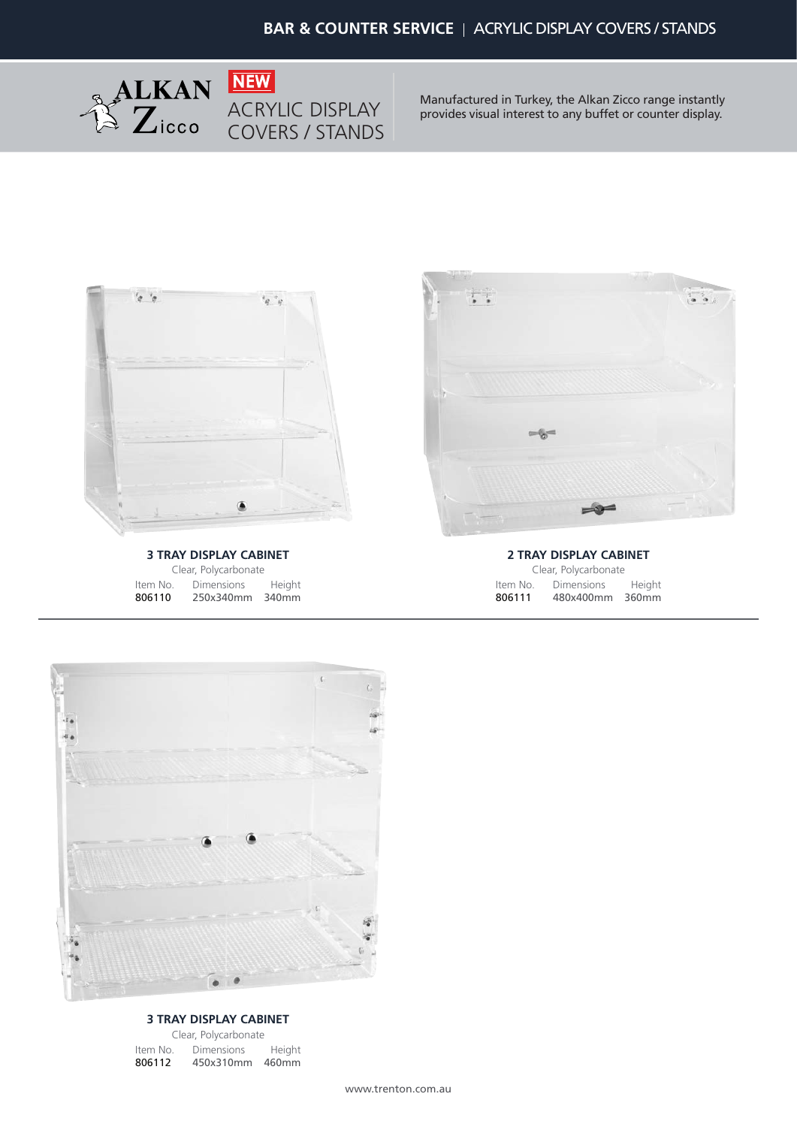

Manufactured in Turkey, the Alkan Zicco range instantly provides visual interest to any buffet or counter display.



**3 TRAY DISPLAY CABINET** Clear, Polycarbonate Item No.<br>**806110** 806110 250x340mm 340mm Dimensions Height



**2 TRAY DISPLAY CABINET** Clear, Polycarbonate Item No.<br>806111 806111 480x400mm 360mm Dimensions Height



#### **3 TRAY DISPLAY CABINET**

Clear, Polycarbonate Item No. Dimensions 806112 450x310mm 460mm Height

www.trenton.com.au